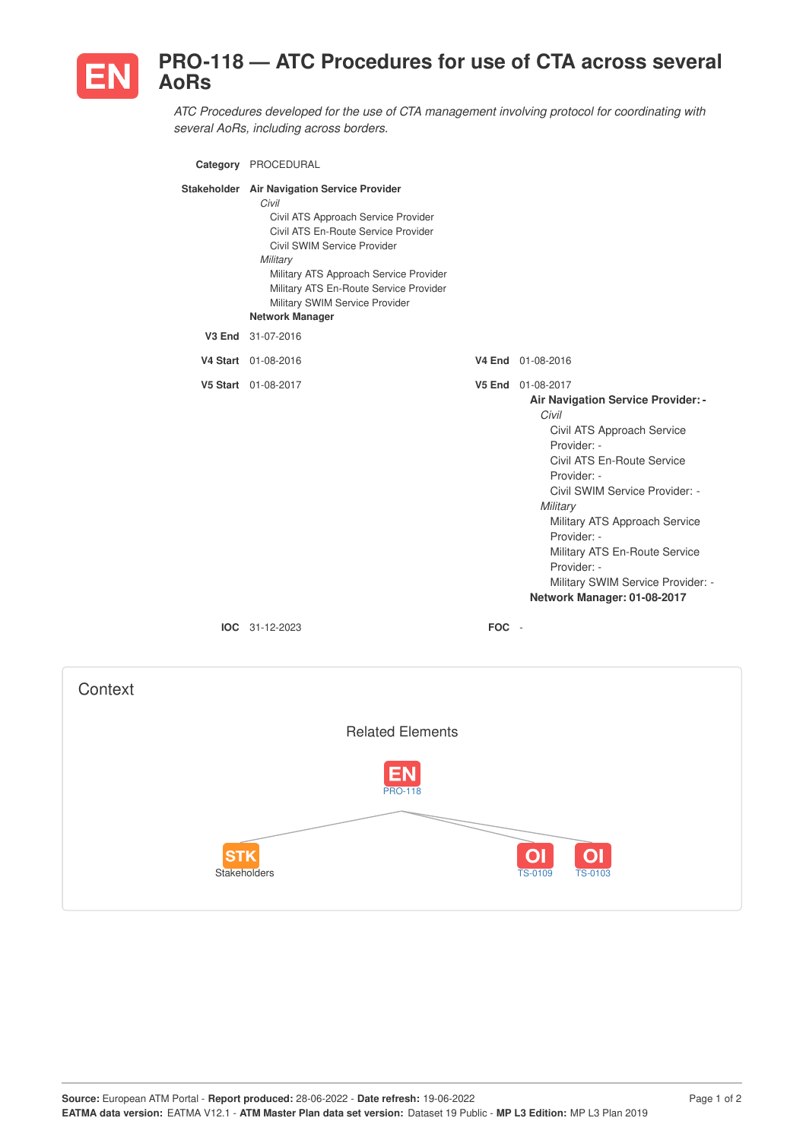

## **PRO-118 — ATC Procedures for use of CTA across several AoRs**

*ATC Procedures developed for the use of CTA management involving protocol for coordinating with several AoRs, including across borders.*

| Category PROCEDURAL                                                                                                                                                                                                                                                                                                           |            |                                                                                                                                                                                                                                                                                                                                                                              |
|-------------------------------------------------------------------------------------------------------------------------------------------------------------------------------------------------------------------------------------------------------------------------------------------------------------------------------|------------|------------------------------------------------------------------------------------------------------------------------------------------------------------------------------------------------------------------------------------------------------------------------------------------------------------------------------------------------------------------------------|
| Stakeholder Air Navigation Service Provider<br>Civil<br>Civil ATS Approach Service Provider<br>Civil ATS En-Route Service Provider<br>Civil SWIM Service Provider<br>Military<br>Military ATS Approach Service Provider<br>Military ATS En-Route Service Provider<br>Military SWIM Service Provider<br><b>Network Manager</b> |            |                                                                                                                                                                                                                                                                                                                                                                              |
| V3 End 31-07-2016                                                                                                                                                                                                                                                                                                             |            |                                                                                                                                                                                                                                                                                                                                                                              |
| V4 Start 01-08-2016                                                                                                                                                                                                                                                                                                           |            | V4 End 01-08-2016                                                                                                                                                                                                                                                                                                                                                            |
| V5 Start 01-08-2017                                                                                                                                                                                                                                                                                                           |            | V5 End 01-08-2017<br>Air Navigation Service Provider: -<br>Civil<br>Civil ATS Approach Service<br>Provider: -<br>Civil ATS En-Route Service<br>Provider: -<br>Civil SWIM Service Provider: -<br>Military<br>Military ATS Approach Service<br>Provider: -<br>Military ATS En-Route Service<br>Provider: -<br>Military SWIM Service Provider: -<br>Network Manager: 01-08-2017 |
| <b>IOC</b> 31-12-2023                                                                                                                                                                                                                                                                                                         | <b>FOC</b> | $\sim$                                                                                                                                                                                                                                                                                                                                                                       |